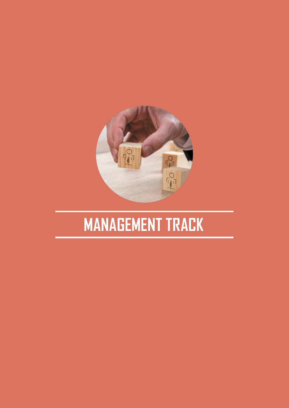

# **MANAGEMENT TRACK**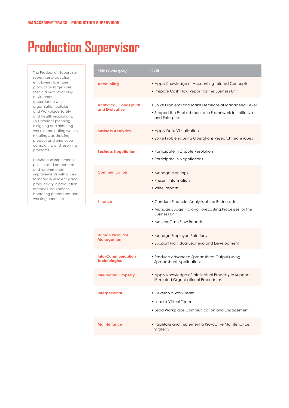#### **Production Supervisor**

The Production Supervisor supervises production employees to ensure production targets are met in a manufacturing environment in accordance with organisation policies and Workplace Safety and Health regulations. This includes planning, assigning and directing work, coordinating weekly meetings, addressing product and employee complaints, and resolving problems.

He/She also implements policies and procedures and recommends improvements with a view to increase efficiency and productivity in production methods, equipment, operating procedures and working conditions.

| <b>Skills Category</b>                           | <b>Skill</b>                                                                                                                                                     |
|--------------------------------------------------|------------------------------------------------------------------------------------------------------------------------------------------------------------------|
| <b>Accounting</b>                                | • Apply Knowledge of Accounting-related Concepts<br>• Prepare Cash Flow Report for the Business Unit                                                             |
| <b>Analytical, Conceptual</b><br>and Evaluative  | • Solve Problems and Make Decisions at Managerial Level<br>• Support the Establishment of a Framework for Initiative<br>and Enterprise                           |
| <b>Business Analytics</b>                        | • Apply Data Visualisation<br>• Solve Problems using Operations Research Techniques                                                                              |
| <b>Business Negotiation</b>                      | • Participate in Dispute Resolution<br>• Participate in Negotiations                                                                                             |
| <b>Communication</b>                             | • Manage Meetings<br>• Present Information<br>• Write Reports                                                                                                    |
| <b>Finance</b>                                   | • Conduct Financial Analysis of the Business Unit<br>• Manage Budgeting and Forecasting Processes for the<br><b>Business Unit</b><br>• Monitor Cash Flow Reports |
| <b>Human Resource</b><br>Management              | • Manage Employee Relations<br>• Support Individual Learning and Development                                                                                     |
| <b>Info-Communication</b><br><b>Technologies</b> | • Produce Advanced Spreadsheet Outputs using<br><b>Spreadsheet Applications</b>                                                                                  |
| <b>Intellectual Property</b>                     | • Apply Knowledge of Intellectual Property to Support<br>IP-related Organisational Procedures                                                                    |
| <b>Interpersonal</b>                             | • Develop a Work Team<br>• Lead a Virtual Team<br>• Lead Workplace Communication and Engagement                                                                  |
| <b>Maintenance</b>                               | • Facilitate and Implement a Pro-active Maintenance<br>Strategy                                                                                                  |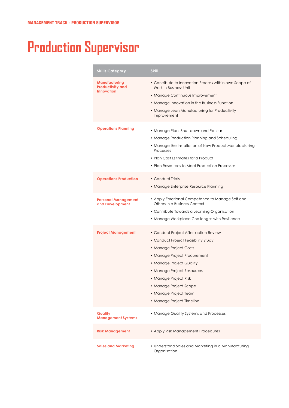# **Production Supervisor**

| <b>Skills Category</b>                                        | <b>Skill</b>                                                                                                                                                                                                                                                                                              |
|---------------------------------------------------------------|-----------------------------------------------------------------------------------------------------------------------------------------------------------------------------------------------------------------------------------------------------------------------------------------------------------|
| Manufacturing<br><b>Productivity and</b><br><b>Innovation</b> | • Contribute to Innovation Process within own Scope of<br>Work in Business Unit<br>• Manage Continuous Improvement<br>• Manage Innovation in the Business Function<br>• Manage Lean Manufacturing for Productivity<br>Improvement                                                                         |
| <b>Operations Planning</b>                                    | • Manage Plant Shut-down and Re-start<br>• Manage Production Planning and Scheduling<br>• Manage the Installation of New Product Manufacturing<br>Processes<br>• Plan Cost Estimates for a Product<br>• Plan Resources to Meet Production Processes                                                       |
| <b>Operations Production</b>                                  | • Conduct Trials<br>• Manage Enterprise Resource Planning                                                                                                                                                                                                                                                 |
| <b>Personal Management</b><br>and Development                 | • Apply Emotional Competence to Manage Self and<br>Others in a Business Context<br>• Contribute Towards a Learning Organisation<br>• Manage Workplace Challenges with Resilience                                                                                                                          |
| Project Management                                            | • Conduct Project After-action Review<br>• Conduct Project Feasibility Study<br>• Manage Project Costs<br>• Manage Project Procurement<br>• Manage Project Quality<br>• Manage Project Resources<br>• Manage Project Risk<br>• Manage Project Scope<br>• Manage Project Team<br>• Manage Project Timeline |
| Quality<br><b>Management Systems</b>                          | • Manage Quality Systems and Processes                                                                                                                                                                                                                                                                    |
| <b>Risk Management</b>                                        | • Apply Risk Management Procedures                                                                                                                                                                                                                                                                        |
| <b>Sales and Marketing</b>                                    | • Understand Sales and Marketing in a Manufacturing<br>Organisation                                                                                                                                                                                                                                       |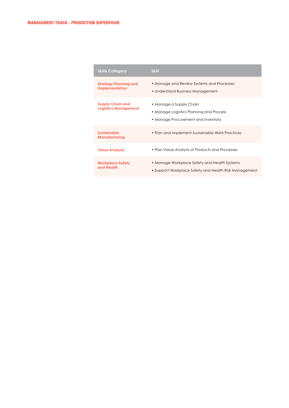| <b>Skills Category</b>                                 | <b>Skill</b>                                                                                             |
|--------------------------------------------------------|----------------------------------------------------------------------------------------------------------|
| <b>Strategy Planning and</b><br><b>Implementation</b>  | • Manage and Review Systems and Processes<br>• Understand Business Management                            |
| <b>Supply Chain and</b><br><b>Logistics Management</b> | • Manage a Supply Chain<br>• Manage Logistics Planning and Process<br>• Manage Procurement and Inventory |
| <b>Sustainable</b><br><b>Manufacturing</b>             | • Plan and Implement Sustainable Work Practices                                                          |
| <b>Value Analysis</b>                                  | • Plan Value Analysis of Products and Processes                                                          |
| <b>Workplace Safety</b><br>and Health                  | • Manage Workplace Safety and Health Systems<br>• Support Workplace Safety and Health Risk Management    |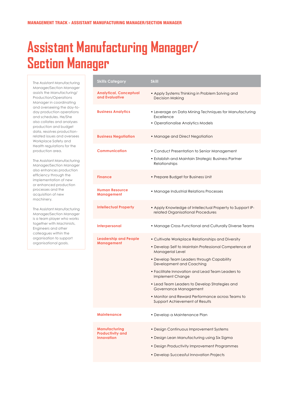## **Assistant Manufacturing Manager/ Section Manager**

The Assistant Manufacturing Manager/Section Manager assists the Manufacturing/ Production/Operations Manager in coordinating and overseeing the day-today production operations and schedules. He/She also collates and analyses production and budget data, resolves productionrelated issues and oversees Workplace Safety and Health regulations for the production area.

The Assistant Manufacturing Manager/Section Manager also enhances production efficiency through the implementation of new or enhanced production processes and the acquisition of new machinery.

The Assistant Manufacturing Manager/Section Manager is a team player who works together with Machinists, Engineers and other colleagues within the organisation to support organisational goals.

| <b>Skills Category</b>                                               | <b>Skill</b>                                                                                                                                                                                                                                                                                                                                                                                                                                    |
|----------------------------------------------------------------------|-------------------------------------------------------------------------------------------------------------------------------------------------------------------------------------------------------------------------------------------------------------------------------------------------------------------------------------------------------------------------------------------------------------------------------------------------|
| <b>Analytical, Conceptual</b><br>and Evaluative                      | • Apply Systems Thinking in Problem Solving and<br><b>Decision Making</b>                                                                                                                                                                                                                                                                                                                                                                       |
| <b>Business Analytics</b>                                            | • Leverage on Data Mining Techniques for Manufacturing<br>Excellence<br>• Operationalise Analytics Models                                                                                                                                                                                                                                                                                                                                       |
| <b>Business Negotiation</b>                                          | • Manage and Direct Negotiation                                                                                                                                                                                                                                                                                                                                                                                                                 |
| <b>Communication</b>                                                 | • Conduct Presentation to Senior Management<br>• Establish and Maintain Strategic Business Partner<br>Relationships                                                                                                                                                                                                                                                                                                                             |
| <b>Finance</b>                                                       | • Prepare Budget for Business Unit                                                                                                                                                                                                                                                                                                                                                                                                              |
| <b>Human Resource</b><br>Management                                  | • Manage Industrial Relations Processes                                                                                                                                                                                                                                                                                                                                                                                                         |
| <b>Intellectual Property</b>                                         | • Apply Knowledge of Intellectual Property to Support IP-<br>related Organisational Procedures                                                                                                                                                                                                                                                                                                                                                  |
| Interpersonal                                                        | • Manage Cross-Functional and Culturally Diverse Teams                                                                                                                                                                                                                                                                                                                                                                                          |
| <b>Leadership and People</b><br><b>Management</b>                    | • Cultivate Workplace Relationships and Diversity<br>• Develop Self to Maintain Professional Competence at<br>Managerial Level<br>• Develop Team Leaders through Capability<br>Development and Coaching<br>• Facilitate Innovation and Lead Team Leaders to<br>Implement Change<br>• Lead Team Leaders to Develop Strategies and<br>Governance Management<br>• Monitor and Reward Performance across Teams to<br>Support Achievement of Results |
| <b>Maintenance</b>                                                   | • Develop a Maintenance Plan                                                                                                                                                                                                                                                                                                                                                                                                                    |
| <b>Manufacturing</b><br><b>Productivity and</b><br><b>Innovation</b> | • Design Continuous Improvement Systems<br>• Design Lean Manufacturing using Six Sigma<br>• Design Productivity Improvement Programmes<br>• Develop Successful Innovation Projects                                                                                                                                                                                                                                                              |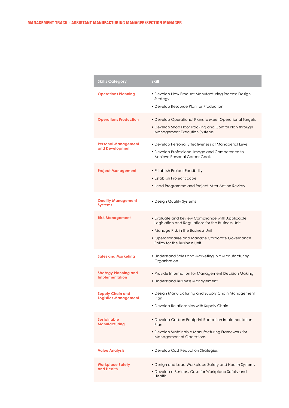| <b>Skills Category</b>                                 | <b>Skill</b>                                                                                                                                                                                                                    |
|--------------------------------------------------------|---------------------------------------------------------------------------------------------------------------------------------------------------------------------------------------------------------------------------------|
| <b>Operations Planning</b>                             | • Develop New Product Manufacturing Process Design<br>Strategy<br>• Develop Resource Plan for Production                                                                                                                        |
| <b>Operations Production</b>                           | • Develop Operational Plans to Meet Operational Targets<br>• Develop Shop Floor Tracking and Control Plan through<br>Management Execution Systems                                                                               |
| <b>Personal Management</b><br>and Development          | • Develop Personal Effectiveness at Managerial Level<br>• Develop Professional Image and Competence to<br>Achieve Personal Career Goals                                                                                         |
| <b>Project Management</b>                              | • Establish Project Feasibility<br>• Establish Project Scope<br>• Lead Programme and Project After Action Review                                                                                                                |
| <b>Quality Management</b><br><b>Systems</b>            | • Design Quality Systems                                                                                                                                                                                                        |
| <b>Risk Management</b>                                 | • Evaluate and Review Compliance with Applicable<br>Legislation and Regulations for the Business Unit<br>• Manage Risk in the Business Unit<br>• Operationalise and Manage Corporate Governance<br>Policy for the Business Unit |
| <b>Sales and Marketing</b>                             | • Understand Sales and Marketing in a Manufacturing<br>Organisation                                                                                                                                                             |
| <b>Strategy Planning and</b><br><b>Implementation</b>  | • Provide Information for Management Decision Making<br>• Understand Business Management                                                                                                                                        |
| <b>Supply Chain and</b><br><b>Logistics Management</b> | • Design Manufacturing and Supply Chain Management<br>Plan<br>• Develop Relationships with Supply Chain                                                                                                                         |
| <b>Sustainable</b><br>Manufacturing                    | • Develop Carbon Footprint Reduction Implementation<br>Plan<br>• Develop Sustainable Manufacturing Framework for<br><b>Management of Operations</b>                                                                             |
| <b>Value Analysis</b>                                  | • Develop Cost Reduction Strategies                                                                                                                                                                                             |
| <b>Workplace Safety</b><br>and Health                  | • Design and Lead Workplace Safety and Health Systems<br>• Develop a Business Case for Workplace Safety and<br>Health                                                                                                           |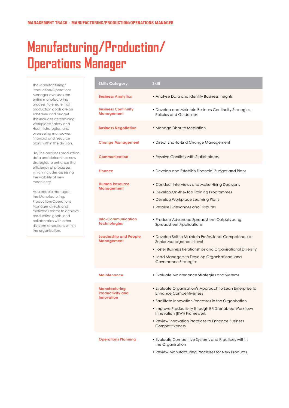# **Manufacturing/Production/ Operations Manager**

The Manufacturing/ Production/Operations Manager oversees the entire manufacturing process, to ensure that production goals are on schedule and budget. This includes determining Workplace Safety and Health strategies, and overseeing manpower, financial and resource plans within the division.

He/She analyses production data and determines new strategies to enhance the efficiency of processes, which includes assessing the viability of new machinery.

As a people manager, the Manufacturing/ Production/Operations Manager directs and motivates teams to achieve production goals, and collaborates with other divisions or sections within the organisation.

| <b>Skills Category</b>                                        | <b>Skill</b>                                                                                                                                                                                                                                                                                                |
|---------------------------------------------------------------|-------------------------------------------------------------------------------------------------------------------------------------------------------------------------------------------------------------------------------------------------------------------------------------------------------------|
| <b>Business Analytics</b>                                     | • Analyse Data and Identify Business Insights                                                                                                                                                                                                                                                               |
| <b>Business Continuity</b><br>Management                      | • Develop and Maintain Business Continuity Strategies,<br><b>Policies and Guidelines</b>                                                                                                                                                                                                                    |
| <b>Business Negotiation</b>                                   | • Manage Dispute Mediation                                                                                                                                                                                                                                                                                  |
| <b>Change Management</b>                                      | • Direct End-to-End Change Management                                                                                                                                                                                                                                                                       |
| <b>Communication</b>                                          | • Resolve Conflicts with Stakeholders                                                                                                                                                                                                                                                                       |
| <b>Finance</b>                                                | • Develop and Establish Financial Budget and Plans                                                                                                                                                                                                                                                          |
| <b>Human Resource</b><br>Management                           | • Conduct Interviews and Make Hiring Decisions<br>• Develop On-the-Job Training Programmes<br>• Develop Workplace Learning Plans<br>• Resolve Grievances and Disputes                                                                                                                                       |
| <b>Info-Communication</b><br><b>Technologies</b>              | • Produce Advanced Spreadsheet Outputs using<br><b>Spreadsheet Applications</b>                                                                                                                                                                                                                             |
| <b>Leadership and People</b><br>Management                    | • Develop Self to Maintain Professional Competence at<br>Senior Management Level<br>• Foster Business Relationships and Organisational Diversity<br>• Lead Managers to Develop Organisational and<br><b>Governance Strategies</b>                                                                           |
| <b>Maintenance</b>                                            | • Evaluate Maintenance Strategies and Systems                                                                                                                                                                                                                                                               |
| Manufacturing<br><b>Productivity and</b><br><b>Innovation</b> | • Evaluate Organisation's Approach to Lean Enterprise to<br>Enhance Competitiveness<br>• Facilitate Innovation Processes in the Organisation<br>• Improve Productivity through RFID-enabled Workflows<br>Innovation (RWI) Framework<br>• Review Innovation Practices to Enhance Business<br>Competitiveness |
| <b>Operations Planning</b>                                    | • Evaluate Competitive Systems and Practices within<br>the Organisation<br>• Review Manufacturing Processes for New Products                                                                                                                                                                                |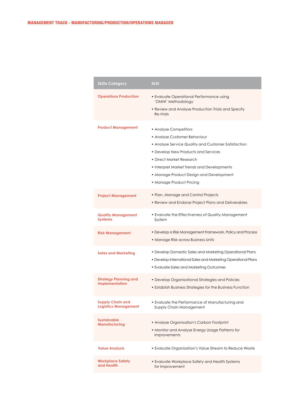| <b>Skills Category</b>                                 | <b>Skill</b>                                                                                                                                                                                                                                                                                         |
|--------------------------------------------------------|------------------------------------------------------------------------------------------------------------------------------------------------------------------------------------------------------------------------------------------------------------------------------------------------------|
| <b>Operations Production</b>                           | • Evaluate Operational Performance using<br>'OMNI' Methodology<br>• Review and Analyse Production Trials and Specify<br>Re-trials                                                                                                                                                                    |
| Product Management                                     | • Analyse Competitors<br>• Analyse Customer Behaviour<br>• Analyse Service Quality and Customer Satisfaction<br>• Develop New Products and Services<br>• Direct Market Research<br>• Interpret Market Trends and Developments<br>• Manage Product Design and Development<br>• Manage Product Pricing |
| <b>Project Management</b>                              | • Plan, Manage and Control Projects<br>• Review and Endorse Project Plans and Deliverables                                                                                                                                                                                                           |
| <b>Quality Management</b><br><b>Systems</b>            | • Evaluate the Effectiveness of Quality Management<br>System                                                                                                                                                                                                                                         |
| <b>Risk Management</b>                                 | • Develop a Risk Management Framework, Policy and Process<br>• Manage Risk across Business Units                                                                                                                                                                                                     |
| <b>Sales and Marketing</b>                             | • Develop Domestic Sales and Marketing Operational Plans<br>• Develop International Sales and Marketing Operational Plans<br>• Evaluate Sales and Marketing Outcomes                                                                                                                                 |
| Strategy Planning and<br><b>Implementation</b>         | • Develop Organisational Strategies and Policies<br>• Establish Business Strategies for the Business Function                                                                                                                                                                                        |
| <b>Supply Chain and</b><br><b>Logistics Management</b> | • Evaluate the Performance of Manufacturing and<br>Supply Chain Management                                                                                                                                                                                                                           |
| <b>Sustainable</b><br><b>Manufacturing</b>             | • Analyse Organisation's Carbon Footprint<br>• Monitor and Analyse Energy Usage Patterns for<br><b>Improvements</b>                                                                                                                                                                                  |
| <b>Value Analysis</b>                                  | • Evaluate Organisation's Value Stream to Reduce Waste                                                                                                                                                                                                                                               |
| <b>Workplace Safety</b><br>and Health                  | • Evaluate Workplace Safety and Health Systems<br>for Improvement                                                                                                                                                                                                                                    |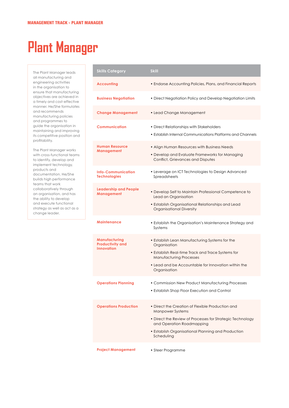# **Plant Manager**

The Plant Manager leads all manufacturing and engineering activities in the organisation to ensure that manufacturing objectives are achieved in a timely and cost-effective manner. He/She formulates and recommends manufacturing policies and programmes to guide the organisation in maintaining and improving its competitive position and profitability.

The Plant Manager works with cross-functional teams to identify, develop and implement technology, products and documentation. He/She builds high performance teams that work collaboratively through an organisation, and has the ability to develop and execute functional strategy as well as act as a change leader.

| <b>Skills Category</b>                                        | <b>Skill</b>                                                                                                                                                                                                                              |
|---------------------------------------------------------------|-------------------------------------------------------------------------------------------------------------------------------------------------------------------------------------------------------------------------------------------|
| <b>Accounting</b>                                             | • Endorse Accounting Policies, Plans, and Financial Reports                                                                                                                                                                               |
| <b>Business Negotiation</b>                                   | • Direct Negotiation Policy and Develop Negotiation Limits                                                                                                                                                                                |
| <b>Change Management</b>                                      | • Lead Change Management                                                                                                                                                                                                                  |
| <b>Communication</b>                                          | • Direct Relationships with Stakeholders<br>• Establish Internal Communications Platforms and Channels                                                                                                                                    |
| <b>Human Resource</b><br>Management                           | • Align Human Resources with Business Needs<br>• Develop and Evaluate Frameworks for Managing<br>Conflict, Grievances and Disputes                                                                                                        |
| <b>Info-Communication</b><br><b>Technologies</b>              | • Leverage on ICT Technologies to Design Advanced<br>Spreadsheets                                                                                                                                                                         |
| <b>Leadership and People</b><br><b>Management</b>             | • Develop Self to Maintain Professional Competence to<br>Lead an Organisation<br>• Establish Organisational Relationships and Lead<br><b>Organisational Diversity</b>                                                                     |
| <b>Maintenance</b>                                            | • Establish the Organisation's Maintenance Strategy and<br>Systems                                                                                                                                                                        |
| Manufacturing<br><b>Productivity and</b><br><b>Innovation</b> | • Establish Lean Manufacturing Systems for the<br>Organisation<br>• Establish Real-time Track and Trace Systems for<br><b>Manufacturing Processes</b><br>• Lead and be Accountable for Innovation within the<br>Organisation              |
| <b>Operations Planning</b>                                    | • Commission New Product Manufacturing Processes<br>• Establish Shop Floor Execution and Control                                                                                                                                          |
| <b>Operations Production</b>                                  | • Direct the Creation of Flexible Production and<br><b>Manpower Systems</b><br>• Direct the Review of Processes for Strategic Technology<br>and Operation Roadmapping<br>• Establish Organisational Planning and Production<br>Scheduling |
| <b>Project Management</b>                                     | • Steer Programme                                                                                                                                                                                                                         |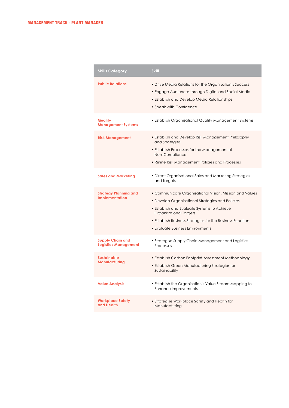| <b>Skills Category</b>                                 | <b>Skill</b>                                                                                                                                                                                                                                                                                 |
|--------------------------------------------------------|----------------------------------------------------------------------------------------------------------------------------------------------------------------------------------------------------------------------------------------------------------------------------------------------|
| <b>Public Relations</b>                                | • Drive Media Relations for the Organisation's Success<br>• Engage Audiences through Digital and Social Media<br>• Establish and Develop Media Relationships<br>• Speak with Confidence                                                                                                      |
| Quality<br><b>Management Systems</b>                   | • Establish Organisational Quality Management Systems                                                                                                                                                                                                                                        |
| <b>Risk Management</b>                                 | • Establish and Develop Risk Management Philosophy<br>and Strategies<br>• Establish Processes for the Management of<br>Non-Compliance<br>• Refine Risk Management Policies and Processes                                                                                                     |
| <b>Sales and Marketing</b>                             | • Direct Organisational Sales and Marketing Strategies<br>and Targets                                                                                                                                                                                                                        |
| <b>Strategy Planning and</b><br>Implementation         | • Communicate Organisational Vision, Mission and Values<br>• Develop Organisational Strategies and Policies<br>• Establish and Evaluate Systems to Achieve<br>Organisational Targets<br>• Establish Business Strategies for the Business Function<br><b>• Evaluate Business Environments</b> |
| <b>Supply Chain and</b><br><b>Logistics Management</b> | • Strategise Supply Chain Management and Logistics<br>Processes                                                                                                                                                                                                                              |
| <b>Sustainable</b><br>Manufacturing                    | • Establish Carbon Footprint Assessment Methodology<br>• Establish Green Manufacturing Strategies for<br>Sustainability                                                                                                                                                                      |
| <b>Value Analysis</b>                                  | • Establish the Organisation's Value Stream Mapping to<br><b>Enhance Improvements</b>                                                                                                                                                                                                        |
| <b>Workplace Safety</b><br>and Health                  | • Strategise Workplace Safety and Health for<br>Manufacturing                                                                                                                                                                                                                                |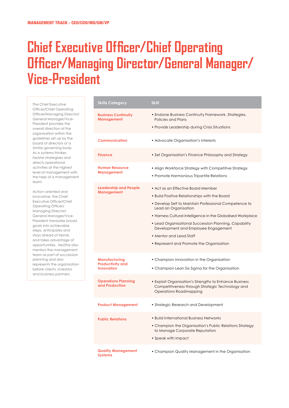### **Chief Executive Officer/Chief Operating Officer/Managing Director/General Manager/ Vice-President**

The Chief Executive Officer/Chief Operating Officer/Managing Director/ General Manager/Vice-President provides the overall direction of the organisation within the guidelines set up by the board of directors or a similar governing body. As a systems thinker, he/she strategises and directs operational activities at the highest level of management with the help of a management team.

Action-oriented and innovative, the Chief Executive Officer/Chief Operating Officer/ Managing Director/ General Manager/Vice-President translates broad goals into achievable steps, anticipates and stays ahead of trends and takes advantage of opportunities. He/She also mentors the management team as part of succession planning and also represents the organisation before clients, investors and business partners.

| <b>Skills Category</b>                                               | <b>Skill</b>                                                                                                                                                                                                                                                                                                                                                                                               |
|----------------------------------------------------------------------|------------------------------------------------------------------------------------------------------------------------------------------------------------------------------------------------------------------------------------------------------------------------------------------------------------------------------------------------------------------------------------------------------------|
| <b>Business Continuity</b><br>Management                             | • Endorse Business Continuity Framework, Strategies,<br>Policies and Plans<br>• Provide Leadership during Crisis Situations                                                                                                                                                                                                                                                                                |
| <b>Communication</b>                                                 | • Advocate Organisation's Interests                                                                                                                                                                                                                                                                                                                                                                        |
| <b>Finance</b>                                                       | • Set Organisation's Finance Philosophy and Strategy                                                                                                                                                                                                                                                                                                                                                       |
| <b>Human Resource</b><br>Management                                  | • Align Workforce Strategy with Competitive Strategy<br>• Promote Harmonious Tripartite Relations                                                                                                                                                                                                                                                                                                          |
| <b>Leadership and People</b><br><b>Management</b>                    | • Act as an Effective Board Member<br>• Build Positive Relationships with the Board<br>• Develop Self to Maintain Professional Competence to<br>Lead an Organisation<br>• Harness Cultural Intelligence in the Globalised Workplace<br>• Lead Organisational Succession Planning, Capability<br>Development and Employee Engagement<br>• Mentor and Lead Staff<br>• Represent and Promote the Organisation |
| <b>Manufacturing</b><br><b>Productivity and</b><br><b>Innovation</b> | • Champion Innovation in the Organisation<br>• Champion Lean Six Sigma for the Organisation                                                                                                                                                                                                                                                                                                                |
| <b>Operations Planning</b><br>and Production                         | • Exploit Organisation's Strengths to Enhance Business<br>Competitiveness through Strategic Technology and<br><b>Operations Roadmapping</b>                                                                                                                                                                                                                                                                |
| <b>Product Management</b>                                            | • Strategic Research and Development                                                                                                                                                                                                                                                                                                                                                                       |
| <b>Public Relations</b>                                              | • Build International Business Networks<br>• Champion the Organisation's Public Relations Strategy<br>to Manage Corporate Reputation<br>• Speak with Impact                                                                                                                                                                                                                                                |
| <b>Quality Management</b><br><b>Systems</b>                          | • Champion Quality Management in the Organisation                                                                                                                                                                                                                                                                                                                                                          |